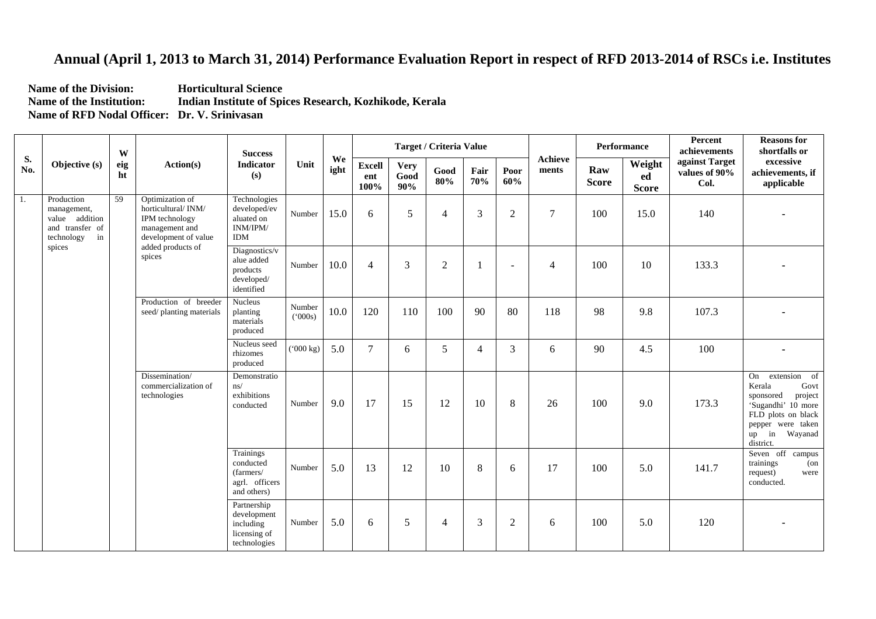## **Annual (April 1, 2013 to March 31, 2014) Performance Evaluation Report in respect of RFD 2013-2014 of RSCs i.e. Institutes**

**Name of the Division: Horticultural Science Name of the Institution: Indian Institute of Spices Research, Kozhikode, Kerala Name of RFD Nodal Officer: Dr. V. Srinivasan** 

| S.<br>No. | Objective (s)                                                                      | W<br>eig<br>ht | Action(s)                                                                                                                        | <b>Success</b><br>Indicator<br>(s)                                      | Unit             | We<br>ight | Target / Criteria Value      |                            |                |                |                  |                         | Performance         |                              | Percent<br>achievements                 | <b>Reasons for</b><br>shortfalls or                                                                                                                           |
|-----------|------------------------------------------------------------------------------------|----------------|----------------------------------------------------------------------------------------------------------------------------------|-------------------------------------------------------------------------|------------------|------------|------------------------------|----------------------------|----------------|----------------|------------------|-------------------------|---------------------|------------------------------|-----------------------------------------|---------------------------------------------------------------------------------------------------------------------------------------------------------------|
|           |                                                                                    |                |                                                                                                                                  |                                                                         |                  |            | <b>Excell</b><br>ent<br>100% | <b>Very</b><br>Good<br>90% | Good<br>80%    | Fair<br>70%    | Poor<br>60%      | <b>Achieve</b><br>ments | Raw<br><b>Score</b> | Weight<br>ed<br><b>Score</b> | against Target<br>values of 90%<br>Col. | excessive<br>achievements, if<br>applicable                                                                                                                   |
| 1.        | Production<br>management,<br>value addition<br>and transfer of<br>technology<br>in | 59             | Optimization of<br>horticultural/INM/<br>IPM technology<br>management and<br>development of value<br>added products of<br>spices | Technologies<br>developed/ev<br>aluated on<br>INM/IPM/<br><b>IDM</b>    | Number           | 15.0       | 6                            | 5                          | $\overline{4}$ | 3              | $\overline{2}$   | $\tau$                  | 100                 | 15.0                         | 140                                     |                                                                                                                                                               |
|           | spices                                                                             |                |                                                                                                                                  | Diagnostics/v<br>alue added<br>products<br>developed/<br>identified     | Number           | 10.0       | $\overline{4}$               | 3                          | $\mathfrak{2}$ |                | $\overline{a}$   | $\overline{4}$          | 100                 | 10                           | 133.3                                   |                                                                                                                                                               |
|           |                                                                                    |                | Production of breeder<br>seed/planting materials                                                                                 | <b>Nucleus</b><br>planting<br>materials<br>produced                     | Number<br>(000s) | 10.0       | 120                          | 110                        | 100            | 90             | 80               | 118                     | 98                  | 9.8                          | 107.3                                   |                                                                                                                                                               |
|           |                                                                                    |                |                                                                                                                                  | Nucleus seed<br>rhizomes<br>produced                                    | $(^{000}$ kg)    | 5.0        | $\tau$                       | 6                          | 5              | $\overline{4}$ | 3                | 6                       | 90                  | 4.5                          | 100                                     | $\blacksquare$                                                                                                                                                |
|           |                                                                                    |                | Dissemination/<br>commercialization of<br>technologies                                                                           | Demonstratio<br>ns/<br>exhibitions<br>conducted                         | Number           | 9.0        | 17                           | 15                         | 12             | 10             | $8\,$            | 26                      | 100                 | 9.0                          | 173.3                                   | On extension of<br>Kerala<br>Govt<br>sponsored<br>project<br>'Sugandhi' 10 more<br>FLD plots on black<br>pepper were taken<br>$up$ in<br>Wayanad<br>district. |
|           |                                                                                    |                |                                                                                                                                  | Trainings<br>conducted<br>(farmers/<br>agrl. officers<br>and others)    | Number           | 5.0        | 13                           | 12                         | 10             | 8              | 6                | 17                      | 100                 | 5.0                          | 141.7                                   | Seven off campus<br>trainings<br>$($ on<br>request)<br>were<br>conducted.                                                                                     |
|           |                                                                                    |                |                                                                                                                                  | Partnership<br>development<br>including<br>licensing of<br>technologies | Number           | 5.0        | 6                            | 5                          | $\overline{4}$ | 3              | $\boldsymbol{2}$ | 6                       | 100                 | 5.0                          | 120                                     |                                                                                                                                                               |